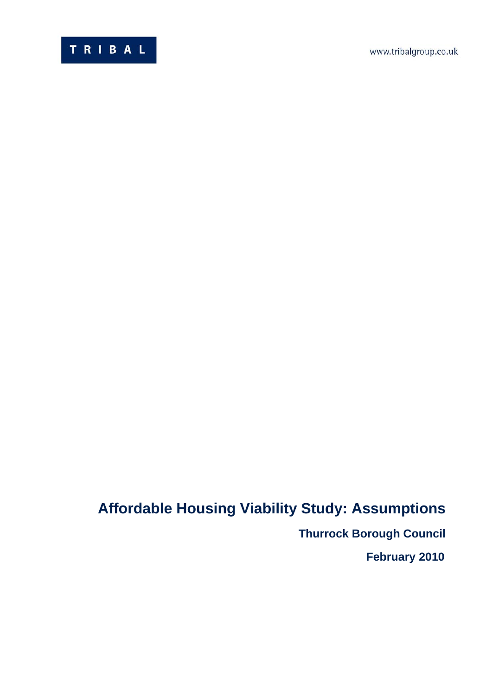www.tribalgroup.co.uk



# **Affordable Housing Viability Study: Assumptions**

**Thurrock Borough Council** 

 **February 2010**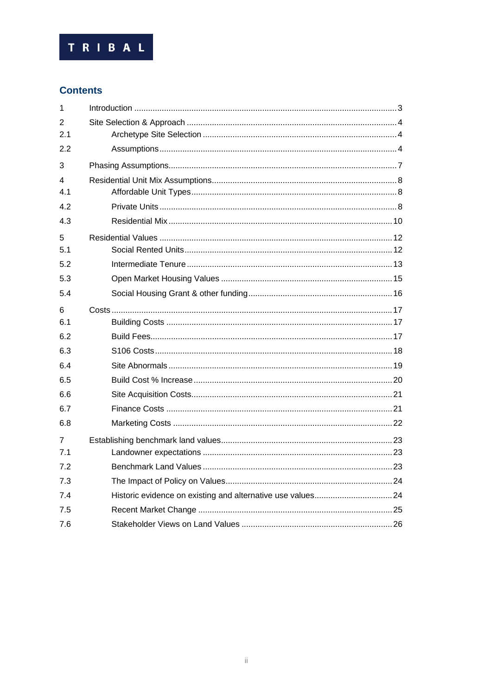

# **Contents**

| 1              |  |
|----------------|--|
| $\mathcal{P}$  |  |
| 2.1            |  |
| 2.2            |  |
| 3              |  |
| 4              |  |
| 4.1            |  |
| 4.2            |  |
| 4.3            |  |
| 5              |  |
| 5.1            |  |
| 5.2            |  |
| 5.3            |  |
| 5.4            |  |
| 6              |  |
| 6.1            |  |
| 6.2            |  |
| 6.3            |  |
| 6.4            |  |
| 6.5            |  |
| 6.6            |  |
| 6.7            |  |
| 6.8            |  |
| $\overline{7}$ |  |
| 7.1            |  |
| 7.2            |  |
| 7.3            |  |
| 7.4            |  |
| 7.5            |  |
| 7.6            |  |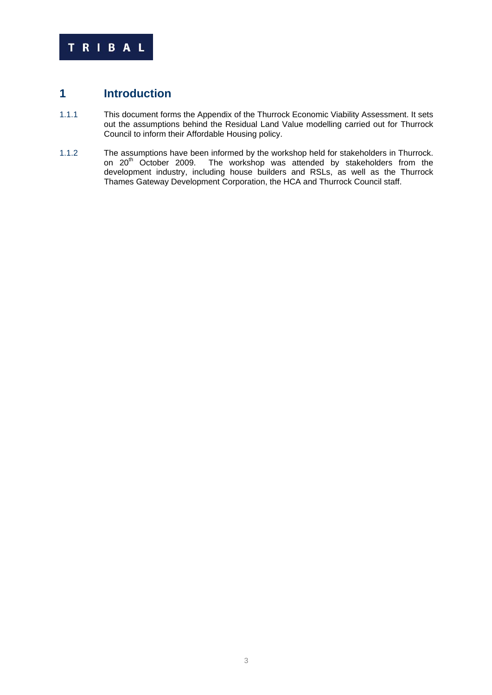

# **1 Introduction**

- 1.1.1 This document forms the Appendix of the Thurrock Economic Viability Assessment. It sets out the assumptions behind the Residual Land Value modelling carried out for Thurrock Council to inform their Affordable Housing policy.
- 1.1.2 The assumptions have been informed by the workshop held for stakeholders in Thurrock. on 20<sup>th</sup> October 2009. The workshop was attended by stakeholders from the development industry, including house builders and RSLs, as well as the Thurrock Thames Gateway Development Corporation, the HCA and Thurrock Council staff.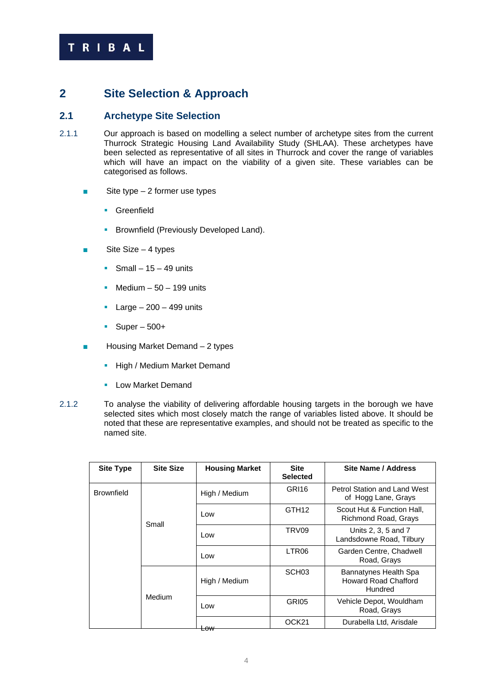

# **2 Site Selection & Approach**

# **2.1 Archetype Site Selection**

- 2.1.1 Our approach is based on modelling a select number of archetype sites from the current Thurrock Strategic Housing Land Availability Study (SHLAA). These archetypes have been selected as representative of all sites in Thurrock and cover the range of variables which will have an impact on the viability of a given site. These variables can be categorised as follows.
	- $\blacksquare$  Site type 2 former use types
		- **Greenfield**
		- **Brownfield (Previously Developed Land).**
	- Site Size 4 types
		- Small  $15 49$  units
		- Medium  $-50 199$  units
		- Large  $-200 499$  units
		- $\blacksquare$  Super 500+
	- Housing Market Demand 2 types
		- **High / Medium Market Demand**
		- **Low Market Demand**
- 2.1.2 To analyse the viability of delivering affordable housing targets in the borough we have selected sites which most closely match the range of variables listed above. It should be noted that these are representative examples, and should not be treated as specific to the named site.

| <b>Site Type</b>  | <b>Site Size</b> | <b>Housing Market</b> | <b>Site</b><br><b>Selected</b> | Site Name / Address                                             |
|-------------------|------------------|-----------------------|--------------------------------|-----------------------------------------------------------------|
| <b>Brownfield</b> |                  | High / Medium         | GRI <sub>16</sub>              | <b>Petrol Station and Land West</b><br>of Hogg Lane, Grays      |
|                   | Small            | Low                   | GTH <sub>12</sub>              | Scout Hut & Function Hall,<br>Richmond Road, Grays              |
|                   |                  | Low                   | TRV <sub>09</sub>              | Units 2, 3, 5 and 7<br>Landsdowne Road, Tilbury                 |
|                   |                  | Low                   | LTR <sub>06</sub>              | Garden Centre, Chadwell<br>Road, Grays                          |
|                   |                  | High / Medium         | SCH <sub>03</sub>              | Bannatynes Health Spa<br><b>Howard Road Chafford</b><br>Hundred |
|                   | Medium           | Low                   | GRI05                          | Vehicle Depot, Wouldham<br>Road, Grays                          |
|                   |                  | ⊢ <del>∩w</del>       | OCK <sub>21</sub>              | Durabella Ltd, Arisdale                                         |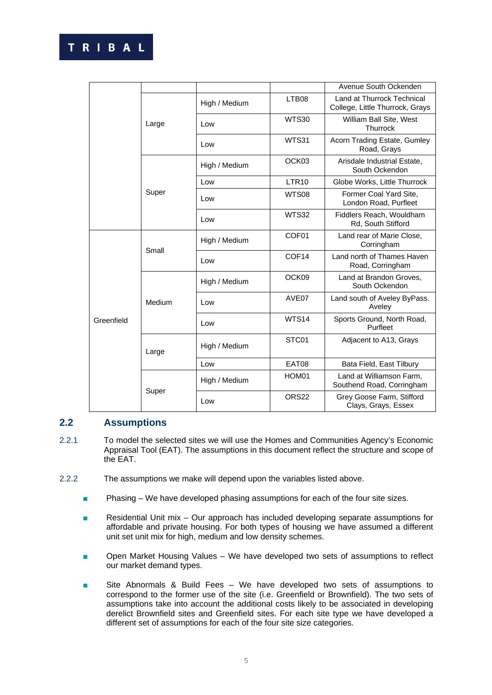|            |        |               |                   | Avenue South Ockenden                                         |
|------------|--------|---------------|-------------------|---------------------------------------------------------------|
|            |        | High / Medium | LTB08             | Land at Thurrock Technical<br>College, Little Thurrock, Grays |
|            | Large  | Low           | WTS30             | William Ball Site, West<br>Thurrock                           |
|            |        | Low           | WTS31             | Acorn Trading Estate, Gumley<br>Road, Grays                   |
|            |        | High / Medium | OCK <sub>03</sub> | Arisdale Industrial Estate,<br>South Ockendon                 |
|            |        | Low           | LTR <sub>10</sub> | Globe Works, Little Thurrock                                  |
|            | Super  | Low           | WTS08             | Former Coal Yard Site,<br>London Road, Purfleet               |
|            |        | Low           | <b>WTS32</b>      | Fiddlers Reach, Wouldham<br>Rd, South Stifford                |
|            | Small  | High / Medium | COF <sub>01</sub> | Land rear of Marie Close,<br>Corringham                       |
|            |        | Low           | COF <sub>14</sub> | Land north of Thames Haven<br>Road, Corringham                |
|            | Medium | High / Medium | OCK09             | Land at Brandon Groves,<br>South Ockendon                     |
|            |        | Low           | AVE <sub>07</sub> | Land south of Aveley ByPass.<br>Aveley                        |
| Greenfield |        | Low           | WTS14             | Sports Ground, North Road,<br>Purfleet                        |
|            | Large  | High / Medium | STC01             | Adjacent to A13, Grays                                        |
|            |        | Low           | EAT08             | Bata Field, East Tilbury                                      |
|            |        | High / Medium | HOM01             | Land at Williamson Farm,<br>Southend Road, Corringham         |
|            | Super  | Low           | ORS22             | Grey Goose Farm, Stifford<br>Clays, Grays, Essex              |

# **2.2 Assumptions**

- 2.2.1 To model the selected sites we will use the Homes and Communities Agency's Economic Appraisal Tool (EAT). The assumptions in this document reflect the structure and scope of the EAT.
- 2.2.2 The assumptions we make will depend upon the variables listed above.
	- Phasing We have developed phasing assumptions for each of the four site sizes.
	- Residential Unit mix Our approach has included developing separate assumptions for affordable and private housing. For both types of housing we have assumed a different unit set unit mix for high, medium and low density schemes.
	- Open Market Housing Values We have developed two sets of assumptions to reflect our market demand types.
	- Site Abnormals & Build Fees We have developed two sets of assumptions to correspond to the former use of the site (i.e. Greenfield or Brownfield). The two sets of assumptions take into account the additional costs likely to be associated in developing derelict Brownfield sites and Greenfield sites. For each site type we have developed a different set of assumptions for each of the four site size categories.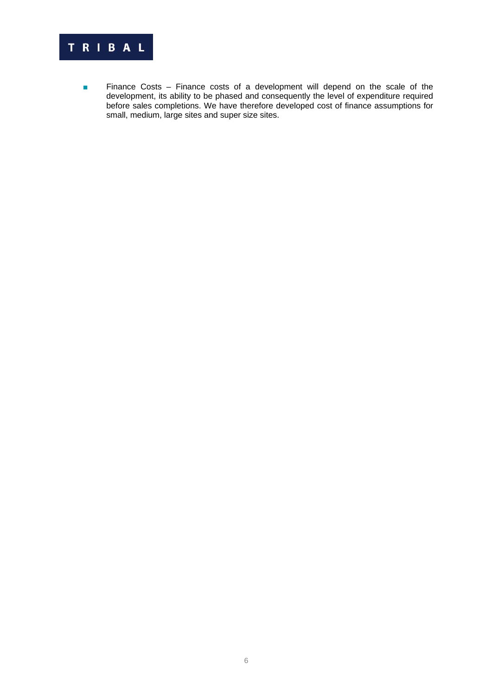

■ Finance Costs – Finance costs of a development will depend on the scale of the development, its ability to be phased and consequently the level of expenditure required before sales completions. We have therefore developed cost of finance assumptions for small, medium, large sites and super size sites.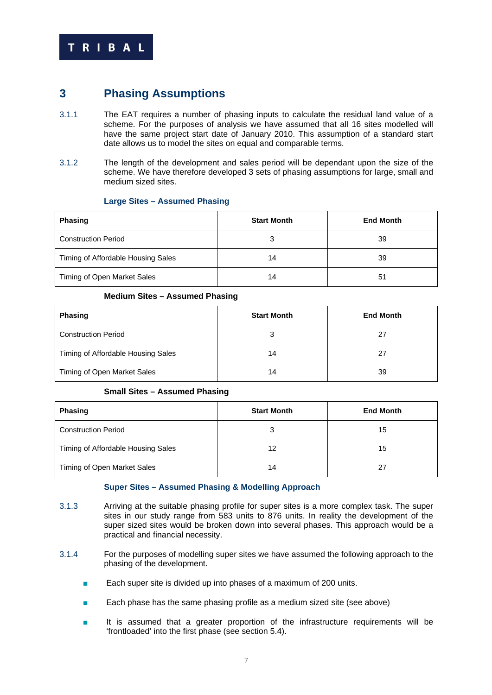

# **3 Phasing Assumptions**

- 3.1.1 The EAT requires a number of phasing inputs to calculate the residual land value of a scheme. For the purposes of analysis we have assumed that all 16 sites modelled will have the same project start date of January 2010. This assumption of a standard start date allows us to model the sites on equal and comparable terms.
- 3.1.2 The length of the development and sales period will be dependant upon the size of the scheme. We have therefore developed 3 sets of phasing assumptions for large, small and medium sized sites.

#### **Large Sites – Assumed Phasing**

| <b>Phasing</b>                     | <b>Start Month</b> | <b>End Month</b> |
|------------------------------------|--------------------|------------------|
| <b>Construction Period</b>         | З                  | 39               |
| Timing of Affordable Housing Sales | 14                 | 39               |
| Timing of Open Market Sales        | 14                 | 51               |

#### **Medium Sites – Assumed Phasing**

| <b>Phasing</b>                     | <b>Start Month</b> | <b>End Month</b> |
|------------------------------------|--------------------|------------------|
| <b>Construction Period</b>         | a                  | 27               |
| Timing of Affordable Housing Sales | 14                 | 27               |
| Timing of Open Market Sales        | 14                 | 39               |

#### **Small Sites – Assumed Phasing**

| <b>Phasing</b>                     | <b>Start Month</b> | <b>End Month</b> |
|------------------------------------|--------------------|------------------|
| <b>Construction Period</b>         | 3                  | 15               |
| Timing of Affordable Housing Sales | 12                 | 15               |
| Timing of Open Market Sales        | 14                 | 27               |

#### **Super Sites – Assumed Phasing & Modelling Approach**

- 3.1.3 Arriving at the suitable phasing profile for super sites is a more complex task. The super sites in our study range from 583 units to 876 units. In reality the development of the super sized sites would be broken down into several phases. This approach would be a practical and financial necessity.
- 3.1.4 For the purposes of modelling super sites we have assumed the following approach to the phasing of the development.
	- Each super site is divided up into phases of a maximum of 200 units.
	- Each phase has the same phasing profile as a medium sized site (see above)
	- It is assumed that a greater proportion of the infrastructure requirements will be 'frontloaded' into the first phase (see section 5.4).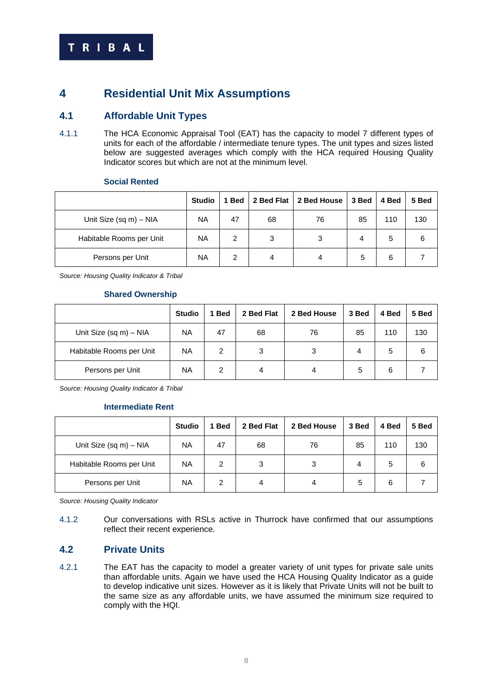# **4 Residential Unit Mix Assumptions**

# **4.1 Affordable Unit Types**

4.1.1 The HCA Economic Appraisal Tool (EAT) has the capacity to model 7 different types of units for each of the affordable / intermediate tenure types. The unit types and sizes listed below are suggested averages which comply with the HCA required Housing Quality Indicator scores but which are not at the minimum level.

Habitable Rooms per Unit  $\begin{vmatrix} NA & 2 & 3 & 3 & 4 & 5 \end{vmatrix}$ 

Persons per Unit | NA | 2 | 4 | 4 | 5 | 6 | 7

| ___________               |           |    |    |                                                          |    |     |     |
|---------------------------|-----------|----|----|----------------------------------------------------------|----|-----|-----|
|                           | Studio I  |    |    | 1 Bed   2 Bed Flat   2 Bed House   3 Bed   4 Bed   5 Bed |    |     |     |
| Unit Size (sq $m$ ) – NIA | <b>NA</b> | 47 | 68 | 76                                                       | 85 | 110 | 130 |

#### **Social Rented**

*Source: Housing Quality Indicator & Tribal* 

#### **Shared Ownership**

|                           | <b>Studio</b> | <b>Bed</b> | 2 Bed Flat | 2 Bed House | 3 Bed | 4 Bed | 5 Bed |
|---------------------------|---------------|------------|------------|-------------|-------|-------|-------|
| Unit Size (sq $m$ ) – NIA | <b>NA</b>     | 47         | 68         | 76          | 85    | 110   | 130   |
| Habitable Rooms per Unit  | <b>NA</b>     | 2          | 3          | 3           | 4     | 5     | 6     |
| Persons per Unit          | <b>NA</b>     | 2          | 4          | 4           | 5     | 6     |       |

*Source: Housing Quality Indicator & Tribal* 

#### **Intermediate Rent**

|                          | <b>Studio</b> | <b>Bed</b> | 2 Bed Flat | 2 Bed House | 3 Bed | 4 Bed | 5 Bed |
|--------------------------|---------------|------------|------------|-------------|-------|-------|-------|
| Unit Size (sq m) - NIA   | <b>NA</b>     | 47         | 68         | 76          | 85    | 110   | 130   |
| Habitable Rooms per Unit | <b>NA</b>     | 2          | 3          | 3           | 4     | 5     | 6     |
| Persons per Unit         | <b>NA</b>     | 2          | 4          | 4           | 5     | 6     |       |

*Source: Housing Quality Indicator* 

4.1.2 Our conversations with RSLs active in Thurrock have confirmed that our assumptions reflect their recent experience.

# **4.2 Private Units**

4.2.1 The EAT has the capacity to model a greater variety of unit types for private sale units than affordable units. Again we have used the HCA Housing Quality Indicator as a guide to develop indicative unit sizes. However as it is likely that Private Units will not be built to the same size as any affordable units, we have assumed the minimum size required to comply with the HQI.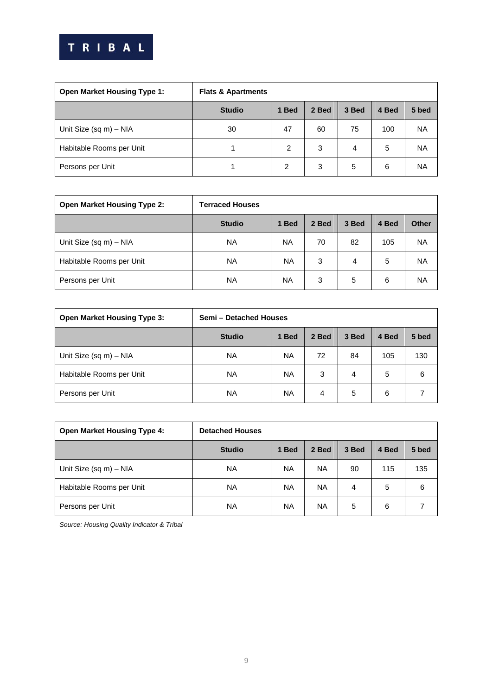

| <b>Open Market Housing Type 1:</b> | <b>Flats &amp; Apartments</b> |       |       |       |       |           |
|------------------------------------|-------------------------------|-------|-------|-------|-------|-----------|
|                                    | <b>Studio</b>                 | 1 Bed | 2 Bed | 3 Bed | 4 Bed | 5 bed     |
| Unit Size (sq m) - NIA             | 30                            | 47    | 60    | 75    | 100   | <b>NA</b> |
| Habitable Rooms per Unit           |                               | 2     | 3     | 4     | 5     | <b>NA</b> |
| Persons per Unit                   |                               | 2     | 3     | 5     | 6     | <b>NA</b> |

| <b>Open Market Housing Type 2:</b> | <b>Terraced Houses</b> |           |       |       |       |              |
|------------------------------------|------------------------|-----------|-------|-------|-------|--------------|
|                                    | <b>Studio</b>          | 1 Bed     | 2 Bed | 3 Bed | 4 Bed | <b>Other</b> |
| Unit Size (sq $m$ ) – NIA          | <b>NA</b>              | <b>NA</b> | 70    | 82    | 105   | <b>NA</b>    |
| Habitable Rooms per Unit           | <b>NA</b>              | <b>NA</b> | 3     | 4     | 5     | <b>NA</b>    |
| Persons per Unit                   | <b>NA</b>              | <b>NA</b> | 3     | 5     | 6     | <b>NA</b>    |

| <b>Open Market Housing Type 3:</b> | Semi - Detached Houses |           |       |       |       |       |  |
|------------------------------------|------------------------|-----------|-------|-------|-------|-------|--|
|                                    | <b>Studio</b>          | 1 Bed     | 2 Bed | 3 Bed | 4 Bed | 5 bed |  |
| Unit Size (sq $m$ ) – NIA          | <b>NA</b>              | <b>NA</b> | 72    | 84    | 105   | 130   |  |
| Habitable Rooms per Unit           | <b>NA</b>              | <b>NA</b> | 3     | 4     | 5     | 6     |  |
| Persons per Unit                   | <b>NA</b>              | <b>NA</b> | 4     | 5     | 6     |       |  |

| <b>Open Market Housing Type 4:</b> | <b>Detached Houses</b> |           |           |       |       |       |
|------------------------------------|------------------------|-----------|-----------|-------|-------|-------|
|                                    | <b>Studio</b>          | 1 Bed     | 2 Bed     | 3 Bed | 4 Bed | 5 bed |
| Unit Size (sq $m$ ) – NIA          | <b>NA</b>              | <b>NA</b> | <b>NA</b> | 90    | 115   | 135   |
| Habitable Rooms per Unit           | <b>NA</b>              | <b>NA</b> | <b>NA</b> | 4     | 5     | 6     |
| Persons per Unit                   | <b>NA</b>              | <b>NA</b> | ΝA        | 5     | 6     |       |

*Source: Housing Quality Indicator & Tribal*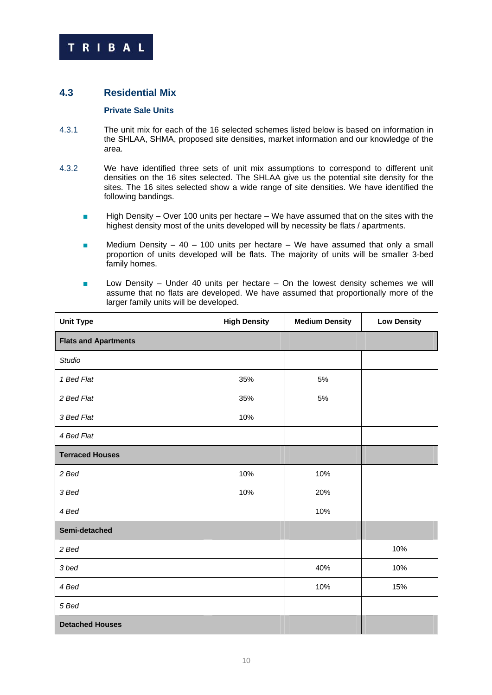

# **4.3 Residential Mix**

### **Private Sale Units**

- 4.3.1 The unit mix for each of the 16 selected schemes listed below is based on information in the SHLAA, SHMA, proposed site densities, market information and our knowledge of the area.
- 4.3.2 We have identified three sets of unit mix assumptions to correspond to different unit densities on the 16 sites selected. The SHLAA give us the potential site density for the sites. The 16 sites selected show a wide range of site densities. We have identified the following bandings.
	- High Density Over 100 units per hectare We have assumed that on the sites with the highest density most of the units developed will by necessity be flats / apartments.
	- Medium Density 40 100 units per hectare We have assumed that only a small proportion of units developed will be flats. The majority of units will be smaller 3-bed family homes.
	- Low Density Under 40 units per hectare On the lowest density schemes we will assume that no flats are developed. We have assumed that proportionally more of the larger family units will be developed.

| <b>Unit Type</b>            | <b>High Density</b> | <b>Medium Density</b> | <b>Low Density</b> |
|-----------------------------|---------------------|-----------------------|--------------------|
| <b>Flats and Apartments</b> |                     |                       |                    |
| Studio                      |                     |                       |                    |
| 1 Bed Flat                  | 35%                 | 5%                    |                    |
| 2 Bed Flat                  | 35%                 | 5%                    |                    |
| 3 Bed Flat                  | 10%                 |                       |                    |
| 4 Bed Flat                  |                     |                       |                    |
| <b>Terraced Houses</b>      |                     |                       |                    |
| 2 Bed                       | 10%                 | 10%                   |                    |
| 3 Bed                       | 10%                 | 20%                   |                    |
| 4 Bed                       |                     | 10%                   |                    |
| Semi-detached               |                     |                       |                    |
| 2 Bed                       |                     |                       | 10%                |
| 3 bed                       |                     | 40%                   | 10%                |
| 4 Bed                       |                     | 10%                   | 15%                |
| 5 Bed                       |                     |                       |                    |
| <b>Detached Houses</b>      |                     |                       |                    |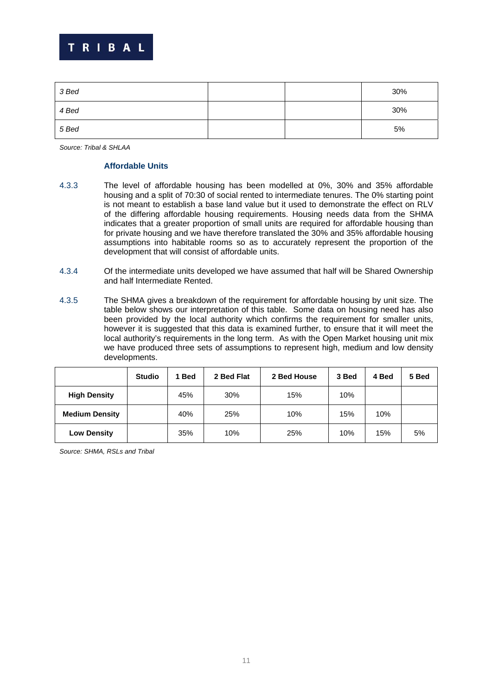

| 3 Bed |  | 30% |
|-------|--|-----|
| 4 Bed |  | 30% |
| 5 Bed |  | 5%  |

*Source: Tribal & SHLAA* 

#### **Affordable Units**

- 4.3.3 The level of affordable housing has been modelled at 0%, 30% and 35% affordable housing and a split of 70:30 of social rented to intermediate tenures. The 0% starting point is not meant to establish a base land value but it used to demonstrate the effect on RLV of the differing affordable housing requirements. Housing needs data from the SHMA indicates that a greater proportion of small units are required for affordable housing than for private housing and we have therefore translated the 30% and 35% affordable housing assumptions into habitable rooms so as to accurately represent the proportion of the development that will consist of affordable units.
- 4.3.4 Of the intermediate units developed we have assumed that half will be Shared Ownership and half Intermediate Rented.
- 4.3.5 The SHMA gives a breakdown of the requirement for affordable housing by unit size. The table below shows our interpretation of this table. Some data on housing need has also been provided by the local authority which confirms the requirement for smaller units, however it is suggested that this data is examined further, to ensure that it will meet the local authority's requirements in the long term. As with the Open Market housing unit mix we have produced three sets of assumptions to represent high, medium and low density developments.

|                       | <b>Studio</b> | 1 Bed | 2 Bed Flat | 2 Bed House | 3 Bed | 4 Bed | 5 Bed |
|-----------------------|---------------|-------|------------|-------------|-------|-------|-------|
| <b>High Density</b>   |               | 45%   | 30%        | 15%         | 10%   |       |       |
| <b>Medium Density</b> |               | 40%   | 25%        | 10%         | 15%   | 10%   |       |
| <b>Low Density</b>    |               | 35%   | 10%        | 25%         | 10%   | 15%   | 5%    |

*Source: SHMA, RSLs and Tribal*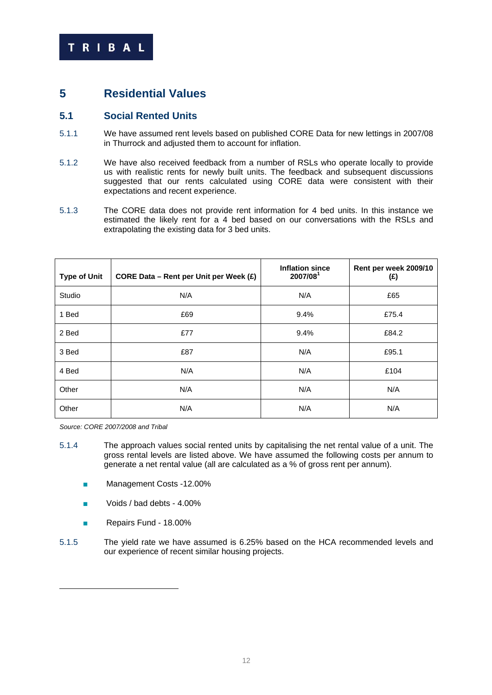

# **5 Residential Values**

# **5.1 Social Rented Units**

- 5.1.1 We have assumed rent levels based on published CORE Data for new lettings in 2007/08 in Thurrock and adjusted them to account for inflation.
- 5.1.2 We have also received feedback from a number of RSLs who operate locally to provide us with realistic rents for newly built units. The feedback and subsequent discussions suggested that our rents calculated using CORE data were consistent with their expectations and recent experience.
- 5.1.3 The CORE data does not provide rent information for 4 bed units. In this instance we estimated the likely rent for a 4 bed based on our conversations with the RSLs and extrapolating the existing data for 3 bed units.

| <b>Type of Unit</b> | CORE Data - Rent per Unit per Week (£) | <b>Inflation since</b><br>2007/08 | Rent per week 2009/10<br>(£) |
|---------------------|----------------------------------------|-----------------------------------|------------------------------|
| Studio              | N/A                                    | N/A                               | £65                          |
| 1 Bed               | £69                                    | 9.4%                              | £75.4                        |
| 2 Bed               | £77                                    | 9.4%                              | £84.2                        |
| 3 Bed               | £87                                    | N/A                               | £95.1                        |
| 4 Bed               | N/A                                    | N/A                               | £104                         |
| Other               | N/A                                    | N/A                               | N/A                          |
| Other               | N/A                                    | N/A                               | N/A                          |

*Source: CORE 2007/2008 and Tribal* 

1

- 5.1.4 The approach values social rented units by capitalising the net rental value of a unit. The gross rental levels are listed above. We have assumed the following costs per annum to generate a net rental value (all are calculated as a % of gross rent per annum).
	- Management Costs -12.00%
	- Voids / bad debts 4.00%
	- Repairs Fund 18.00%
- 5.1.5 The yield rate we have assumed is 6.25% based on the HCA recommended levels and our experience of recent similar housing projects.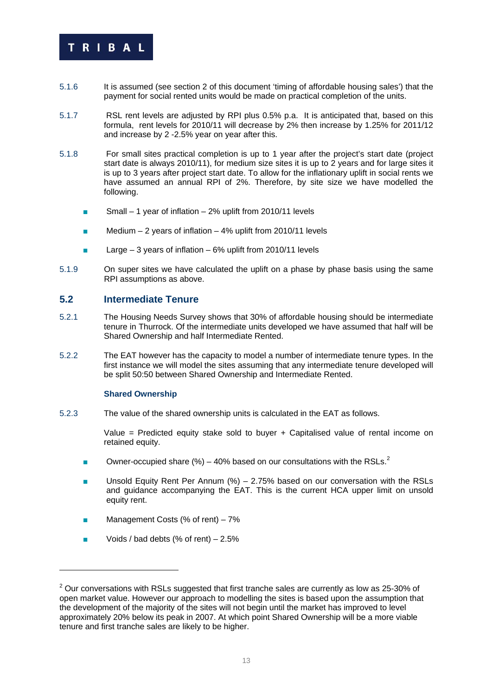

- 5.1.6 It is assumed (see section 2 of this document 'timing of affordable housing sales') that the payment for social rented units would be made on practical completion of the units.
- 5.1.7 RSL rent levels are adjusted by RPI plus 0.5% p.a. It is anticipated that, based on this formula, rent levels for 2010/11 will decrease by 2% then increase by 1.25% for 2011/12 and increase by 2 -2.5% year on year after this.
- 5.1.8 For small sites practical completion is up to 1 year after the project's start date (project start date is always 2010/11), for medium size sites it is up to 2 years and for large sites it is up to 3 years after project start date. To allow for the inflationary uplift in social rents we have assumed an annual RPI of 2%. Therefore, by site size we have modelled the following.
	- Small 1 year of inflation 2% uplift from 2010/11 levels
	- Medium 2 years of inflation 4% uplift from 2010/11 levels
	- Large  $-3$  years of inflation  $-6\%$  uplift from 2010/11 levels
- 5.1.9 On super sites we have calculated the uplift on a phase by phase basis using the same RPI assumptions as above.

# **5.2 Intermediate Tenure**

- 5.2.1 The Housing Needs Survey shows that 30% of affordable housing should be intermediate tenure in Thurrock. Of the intermediate units developed we have assumed that half will be Shared Ownership and half Intermediate Rented.
- 5.2.2 The EAT however has the capacity to model a number of intermediate tenure types. In the first instance we will model the sites assuming that any intermediate tenure developed will be split 50:50 between Shared Ownership and Intermediate Rented.

#### **Shared Ownership**

5.2.3 The value of the shared ownership units is calculated in the EAT as follows.

Value = Predicted equity stake sold to buyer + Capitalised value of rental income on retained equity.

- **D** Owner-occupied share  $\frac{9}{6}$  40% based on our consultations with the RSLs.<sup>2</sup>
- Unsold Equity Rent Per Annum (%) 2.75% based on our conversation with the RSLs and guidance accompanying the EAT. This is the current HCA upper limit on unsold equity rent.
- Management Costs (% of rent)  $-7%$
- Voids / bad debts (% of rent) 2.5%

1

 $2$  Our conversations with RSLs suggested that first tranche sales are currently as low as 25-30% of open market value. However our approach to modelling the sites is based upon the assumption that the development of the majority of the sites will not begin until the market has improved to level approximately 20% below its peak in 2007. At which point Shared Ownership will be a more viable tenure and first tranche sales are likely to be higher.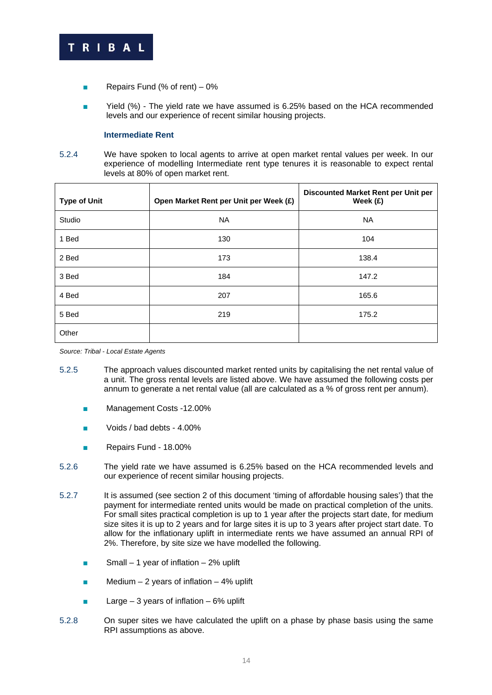

- Repairs Fund (% of rent) 0%
- Yield (%) The yield rate we have assumed is 6.25% based on the HCA recommended levels and our experience of recent similar housing projects.

#### **Intermediate Rent**

5.2.4 We have spoken to local agents to arrive at open market rental values per week. In our experience of modelling Intermediate rent type tenures it is reasonable to expect rental levels at 80% of open market rent.

| <b>Type of Unit</b> | Open Market Rent per Unit per Week (£) | Discounted Market Rent per Unit per<br>Week $(f)$ |
|---------------------|----------------------------------------|---------------------------------------------------|
| Studio              | NA                                     | NA                                                |
| 1 Bed               | 130                                    | 104                                               |
| 2 Bed               | 173                                    | 138.4                                             |
| 3 Bed               | 184                                    | 147.2                                             |
| 4 Bed               | 207                                    | 165.6                                             |
| 5 Bed               | 219                                    | 175.2                                             |
| Other               |                                        |                                                   |

*Source: Tribal - Local Estate Agents* 

- 5.2.5 The approach values discounted market rented units by capitalising the net rental value of a unit. The gross rental levels are listed above. We have assumed the following costs per annum to generate a net rental value (all are calculated as a % of gross rent per annum).
	- Management Costs -12.00%
	- Voids / bad debts 4.00%
	- Repairs Fund 18.00%
- 5.2.6 The yield rate we have assumed is 6.25% based on the HCA recommended levels and our experience of recent similar housing projects.
- 5.2.7 It is assumed (see section 2 of this document 'timing of affordable housing sales') that the payment for intermediate rented units would be made on practical completion of the units. For small sites practical completion is up to 1 year after the projects start date, for medium size sites it is up to 2 years and for large sites it is up to 3 years after project start date. To allow for the inflationary uplift in intermediate rents we have assumed an annual RPI of 2%. Therefore, by site size we have modelled the following.
	- $\blacksquare$  Small 1 year of inflation 2% uplift
	- $\blacksquare$  Medium 2 years of inflation 4% uplift
	- **E** Large 3 years of inflation 6% uplift
- 5.2.8 On super sites we have calculated the uplift on a phase by phase basis using the same RPI assumptions as above.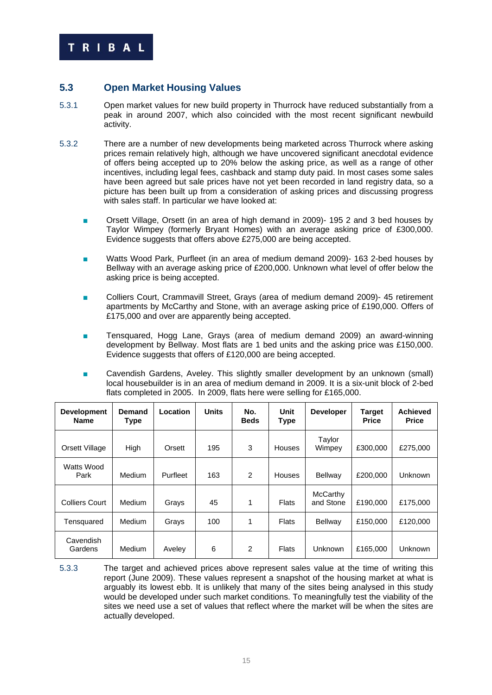# **5.3 Open Market Housing Values**

- 5.3.1 Open market values for new build property in Thurrock have reduced substantially from a peak in around 2007, which also coincided with the most recent significant newbuild activity.
- 5.3.2 There are a number of new developments being marketed across Thurrock where asking prices remain relatively high, although we have uncovered significant anecdotal evidence of offers being accepted up to 20% below the asking price, as well as a range of other incentives, including legal fees, cashback and stamp duty paid. In most cases some sales have been agreed but sale prices have not yet been recorded in land registry data, so a picture has been built up from a consideration of asking prices and discussing progress with sales staff. In particular we have looked at:
	- Orsett Village, Orsett (in an area of high demand in 2009)- 195 2 and 3 bed houses by Taylor Wimpey (formerly Bryant Homes) with an average asking price of £300,000. Evidence suggests that offers above £275,000 are being accepted.
	- Watts Wood Park, Purfleet (in an area of medium demand 2009)- 163 2-bed houses by Bellway with an average asking price of £200,000. Unknown what level of offer below the asking price is being accepted.
	- Colliers Court, Crammavill Street, Grays (area of medium demand 2009)- 45 retirement apartments by McCarthy and Stone, with an average asking price of £190,000. Offers of £175,000 and over are apparently being accepted.
	- Tensquared, Hogg Lane, Grays (area of medium demand 2009) an award-winning development by Bellway. Most flats are 1 bed units and the asking price was £150,000. Evidence suggests that offers of £120,000 are being accepted.
	- Cavendish Gardens, Aveley. This slightly smaller development by an unknown (small) local housebuilder is in an area of medium demand in 2009. It is a six-unit block of 2-bed flats completed in 2005. In 2009, flats here were selling for £165,000.

| <b>Development</b><br><b>Name</b> | Demand<br><b>Type</b> | Location | <b>Units</b> | No.<br><b>Beds</b> | Unit<br>Type  | <b>Developer</b>      | Target<br><b>Price</b> | <b>Achieved</b><br><b>Price</b> |
|-----------------------------------|-----------------------|----------|--------------|--------------------|---------------|-----------------------|------------------------|---------------------------------|
| Orsett Village                    | High                  | Orsett   | 195          | 3                  | <b>Houses</b> | Taylor<br>Wimpey      | £300,000               | £275.000                        |
| Watts Wood<br>Park                | Medium                | Purfleet | 163          | 2                  | <b>Houses</b> | Bellway               | £200,000               | <b>Unknown</b>                  |
| <b>Colliers Court</b>             | <b>Medium</b>         | Grays    | 45           | 1                  | <b>Flats</b>  | McCarthy<br>and Stone | £190,000               | £175,000                        |
| Tensquared                        | Medium                | Grays    | 100          | 1                  | Flats         | Bellway               | £150,000               | £120,000                        |
| Cavendish<br>Gardens              | Medium                | Aveley   | 6            | 2                  | <b>Flats</b>  | Unknown               | £165,000               | <b>Unknown</b>                  |

5.3.3 The target and achieved prices above represent sales value at the time of writing this report (June 2009). These values represent a snapshot of the housing market at what is arguably its lowest ebb. It is unlikely that many of the sites being analysed in this study would be developed under such market conditions. To meaningfully test the viability of the sites we need use a set of values that reflect where the market will be when the sites are actually developed.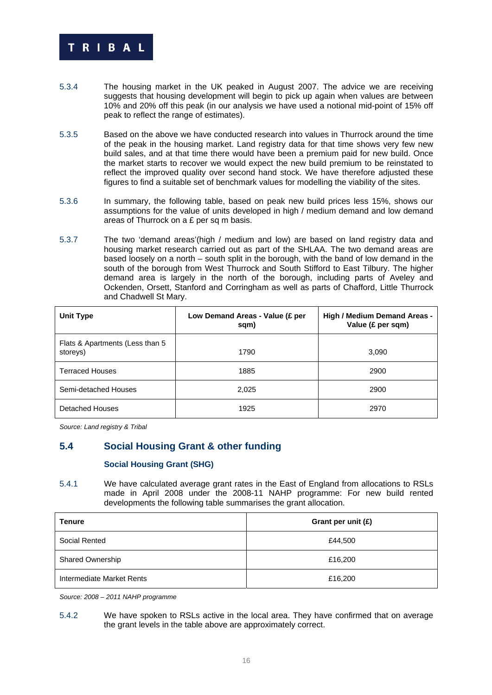

- 5.3.4 The housing market in the UK peaked in August 2007. The advice we are receiving suggests that housing development will begin to pick up again when values are between 10% and 20% off this peak (in our analysis we have used a notional mid-point of 15% off peak to reflect the range of estimates).
- 5.3.5 Based on the above we have conducted research into values in Thurrock around the time of the peak in the housing market. Land registry data for that time shows very few new build sales, and at that time there would have been a premium paid for new build. Once the market starts to recover we would expect the new build premium to be reinstated to reflect the improved quality over second hand stock. We have therefore adjusted these figures to find a suitable set of benchmark values for modelling the viability of the sites.
- 5.3.6 In summary, the following table, based on peak new build prices less 15%, shows our assumptions for the value of units developed in high / medium demand and low demand areas of Thurrock on a £ per sq m basis.
- 5.3.7 The two 'demand areas'(high / medium and low) are based on land registry data and housing market research carried out as part of the SHLAA. The two demand areas are based loosely on a north – south split in the borough, with the band of low demand in the south of the borough from West Thurrock and South Stifford to East Tilbury. The higher demand area is largely in the north of the borough, including parts of Aveley and Ockenden, Orsett, Stanford and Corringham as well as parts of Chafford, Little Thurrock and Chadwell St Mary.

| <b>Unit Type</b>                            | Low Demand Areas - Value (£ per<br>sqm) | High / Medium Demand Areas -<br>Value (£ per sqm) |
|---------------------------------------------|-----------------------------------------|---------------------------------------------------|
| Flats & Apartments (Less than 5<br>storeys) | 1790                                    | 3,090                                             |
| <b>Terraced Houses</b>                      | 1885                                    | 2900                                              |
| Semi-detached Houses                        | 2,025                                   | 2900                                              |
| Detached Houses                             | 1925                                    | 2970                                              |

*Source: Land registry & Tribal* 

# **5.4 Social Housing Grant & other funding**

#### **Social Housing Grant (SHG)**

5.4.1 We have calculated average grant rates in the East of England from allocations to RSLs made in April 2008 under the 2008-11 NAHP programme: For new build rented developments the following table summarises the grant allocation.

| Tenure                    | Grant per unit (£) |
|---------------------------|--------------------|
| Social Rented             | £44,500            |
| Shared Ownership          | £16,200            |
| Intermediate Market Rents | £16,200            |

*Source: 2008 – 2011 NAHP programme* 

5.4.2 We have spoken to RSLs active in the local area. They have confirmed that on average the grant levels in the table above are approximately correct.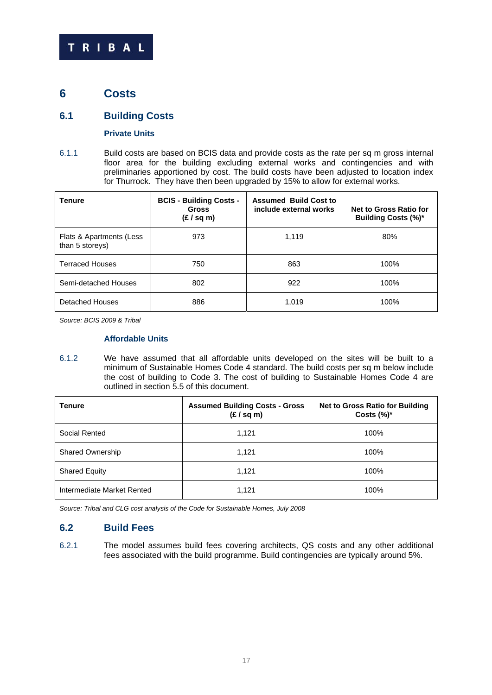# **6 Costs**

# **6.1 Building Costs**

#### **Private Units**

6.1.1 Build costs are based on BCIS data and provide costs as the rate per sq m gross internal floor area for the building excluding external works and contingencies and with preliminaries apportioned by cost. The build costs have been adjusted to location index for Thurrock. They have then been upgraded by 15% to allow for external works.

| <b>Tenure</b>                               | <b>BCIS - Building Costs -</b><br><b>Gross</b><br>(E / sq m) | <b>Assumed Build Cost to</b><br>include external works | Net to Gross Ratio for<br><b>Building Costs (%)*</b> |
|---------------------------------------------|--------------------------------------------------------------|--------------------------------------------------------|------------------------------------------------------|
| Flats & Apartments (Less<br>than 5 storeys) | 973                                                          | 1.119                                                  | 80%                                                  |
| <b>Terraced Houses</b>                      | 750                                                          | 863                                                    | 100%                                                 |
| Semi-detached Houses                        | 802                                                          | 922                                                    | 100%                                                 |
| Detached Houses                             | 886                                                          | 1,019                                                  | 100%                                                 |

*Source: BCIS 2009 & Tribal* 

#### **Affordable Units**

6.1.2 We have assumed that all affordable units developed on the sites will be built to a minimum of Sustainable Homes Code 4 standard. The build costs per sq m below include the cost of building to Code 3. The cost of building to Sustainable Homes Code 4 are outlined in section 5.5 of this document.

| <b>Tenure</b>              | <b>Assumed Building Costs - Gross</b><br>(E / sq m) | <b>Net to Gross Ratio for Building</b><br>Costs $(\%)^*$ |
|----------------------------|-----------------------------------------------------|----------------------------------------------------------|
| Social Rented              | 1,121                                               | 100%                                                     |
| <b>Shared Ownership</b>    | 1,121                                               | 100%                                                     |
| <b>Shared Equity</b>       | 1,121                                               | 100%                                                     |
| Intermediate Market Rented | 1,121                                               | 100%                                                     |

*Source: Tribal and CLG cost analysis of the Code for Sustainable Homes, July 2008* 

# **6.2 Build Fees**

6.2.1 The model assumes build fees covering architects, QS costs and any other additional fees associated with the build programme. Build contingencies are typically around 5%.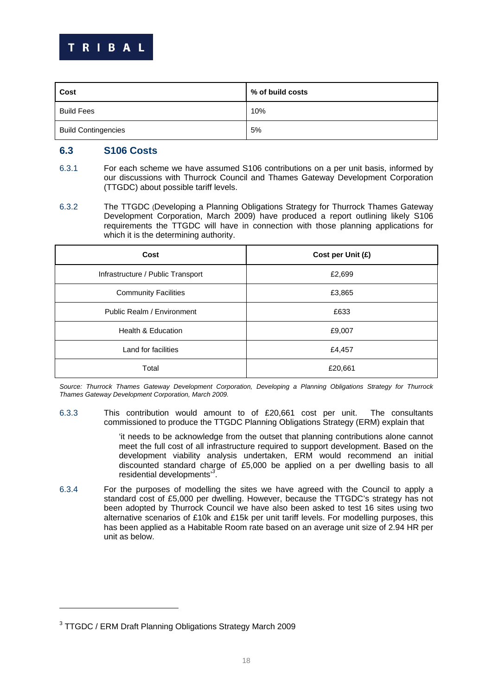

| Cost                       | % of build costs |
|----------------------------|------------------|
| <b>Build Fees</b>          | 10%              |
| <b>Build Contingencies</b> | 5%               |

# **6.3 S106 Costs**

- 6.3.1 For each scheme we have assumed S106 contributions on a per unit basis, informed by our discussions with Thurrock Council and Thames Gateway Development Corporation (TTGDC) about possible tariff levels.
- 6.3.2 The TTGDC (Developing a Planning Obligations Strategy for Thurrock Thames Gateway Development Corporation, March 2009) have produced a report outlining likely S106 requirements the TTGDC will have in connection with those planning applications for which it is the determining authority.

| Cost                              | Cost per Unit (£) |
|-----------------------------------|-------------------|
| Infrastructure / Public Transport | £2,699            |
| <b>Community Facilities</b>       | £3,865            |
| Public Realm / Environment        | £633              |
| Health & Education                | £9,007            |
| Land for facilities               | £4,457            |
| Total                             | £20,661           |

*Source: Thurrock Thames Gateway Development Corporation, Developing a Planning Obligations Strategy for Thurrock Thames Gateway Development Corporation, March 2009.* 

6.3.3 This contribution would amount to of £20,661 cost per unit. The consultants commissioned to produce the TTGDC Planning Obligations Strategy (ERM) explain that

> 'it needs to be acknowledge from the outset that planning contributions alone cannot meet the full cost of all infrastructure required to support development. Based on the development viability analysis undertaken, ERM would recommend an initial discounted standard charge of £5,000 be applied on a per dwelling basis to all residential developments'*<sup>3</sup>* .

6.3.4 For the purposes of modelling the sites we have agreed with the Council to apply a standard cost of £5,000 per dwelling. However, because the TTGDC's strategy has not been adopted by Thurrock Council we have also been asked to test 16 sites using two alternative scenarios of £10k and £15k per unit tariff levels. For modelling purposes, this has been applied as a Habitable Room rate based on an average unit size of 2.94 HR per unit as below.

-

<sup>&</sup>lt;sup>3</sup> TTGDC / ERM Draft Planning Obligations Strategy March 2009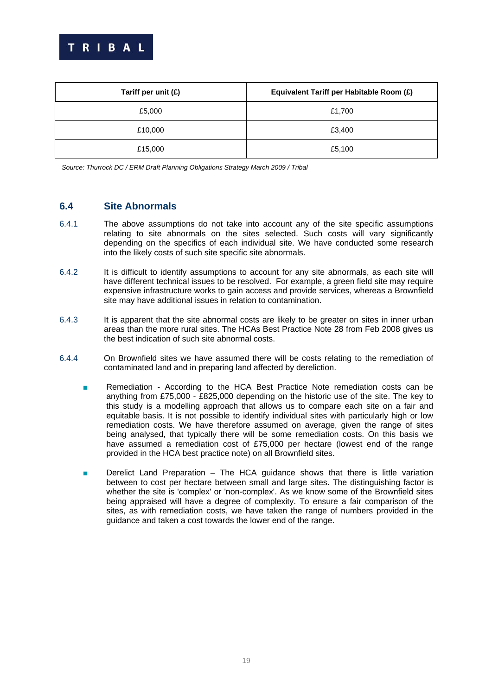

| Tariff per unit $(E)$ | Equivalent Tariff per Habitable Room (£) |
|-----------------------|------------------------------------------|
| £5,000                | £1,700                                   |
| £10,000               | £3,400                                   |
| £15,000               | £5,100                                   |

*Source: Thurrock DC / ERM Draft Planning Obligations Strategy March 2009 / Tribal* 

# **6.4 Site Abnormals**

- 6.4.1 The above assumptions do not take into account any of the site specific assumptions relating to site abnormals on the sites selected. Such costs will vary significantly depending on the specifics of each individual site. We have conducted some research into the likely costs of such site specific site abnormals.
- 6.4.2 It is difficult to identify assumptions to account for any site abnormals, as each site will have different technical issues to be resolved. For example, a green field site may require expensive infrastructure works to gain access and provide services, whereas a Brownfield site may have additional issues in relation to contamination.
- 6.4.3 It is apparent that the site abnormal costs are likely to be greater on sites in inner urban areas than the more rural sites. The HCAs Best Practice Note 28 from Feb 2008 gives us the best indication of such site abnormal costs.
- 6.4.4 On Brownfield sites we have assumed there will be costs relating to the remediation of contaminated land and in preparing land affected by dereliction.
	- Remediation According to the HCA Best Practice Note remediation costs can be anything from £75,000 - £825,000 depending on the historic use of the site. The key to this study is a modelling approach that allows us to compare each site on a fair and equitable basis. It is not possible to identify individual sites with particularly high or low remediation costs. We have therefore assumed on average, given the range of sites being analysed, that typically there will be some remediation costs. On this basis we have assumed a remediation cost of £75,000 per hectare (lowest end of the range provided in the HCA best practice note) on all Brownfield sites.
	- Derelict Land Preparation  $-$  The HCA guidance shows that there is little variation between to cost per hectare between small and large sites. The distinguishing factor is whether the site is 'complex' or 'non-complex'. As we know some of the Brownfield sites being appraised will have a degree of complexity. To ensure a fair comparison of the sites, as with remediation costs, we have taken the range of numbers provided in the guidance and taken a cost towards the lower end of the range.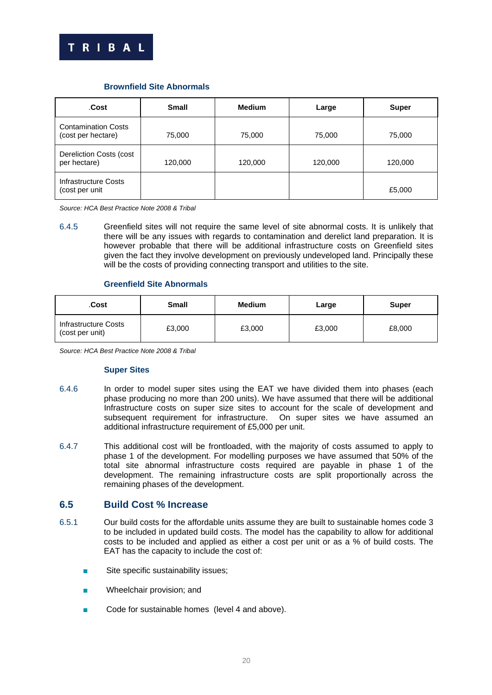

| .Cost                                            | <b>Small</b> | <b>Medium</b> | Large   | <b>Super</b> |
|--------------------------------------------------|--------------|---------------|---------|--------------|
| <b>Contamination Costs</b><br>(cost per hectare) | 75,000       | 75,000        | 75,000  | 75,000       |
| Dereliction Costs (cost<br>per hectare)          | 120,000      | 120,000       | 120,000 | 120,000      |
| Infrastructure Costs<br>(cost per unit           |              |               |         | £5,000       |

#### **Brownfield Site Abnormals**

*Source: HCA Best Practice Note 2008 & Tribal* 

6.4.5 Greenfield sites will not require the same level of site abnormal costs. It is unlikely that there will be any issues with regards to contamination and derelict land preparation. It is however probable that there will be additional infrastructure costs on Greenfield sites given the fact they involve development on previously undeveloped land. Principally these will be the costs of providing connecting transport and utilities to the site.

#### **Greenfield Site Abnormals**

| .Cost                                   | Small  | Medium | Large  | <b>Super</b> |
|-----------------------------------------|--------|--------|--------|--------------|
| Infrastructure Costs<br>(cost per unit) | £3,000 | £3,000 | £3,000 | £8,000       |

*Source: HCA Best Practice Note 2008 & Tribal* 

#### **Super Sites**

- 6.4.6 In order to model super sites using the EAT we have divided them into phases (each phase producing no more than 200 units). We have assumed that there will be additional Infrastructure costs on super size sites to account for the scale of development and subsequent requirement for infrastructure. On super sites we have assumed an additional infrastructure requirement of £5,000 per unit.
- 6.4.7 This additional cost will be frontloaded, with the majority of costs assumed to apply to phase 1 of the development. For modelling purposes we have assumed that 50% of the total site abnormal infrastructure costs required are payable in phase 1 of the development. The remaining infrastructure costs are split proportionally across the remaining phases of the development.

# **6.5 Build Cost % Increase**

- 6.5.1 Our build costs for the affordable units assume they are built to sustainable homes code 3 to be included in updated build costs. The model has the capability to allow for additional costs to be included and applied as either a cost per unit or as a % of build costs. The EAT has the capacity to include the cost of:
	- Site specific sustainability issues;
	- Wheelchair provision; and
	- Code for sustainable homes (level 4 and above).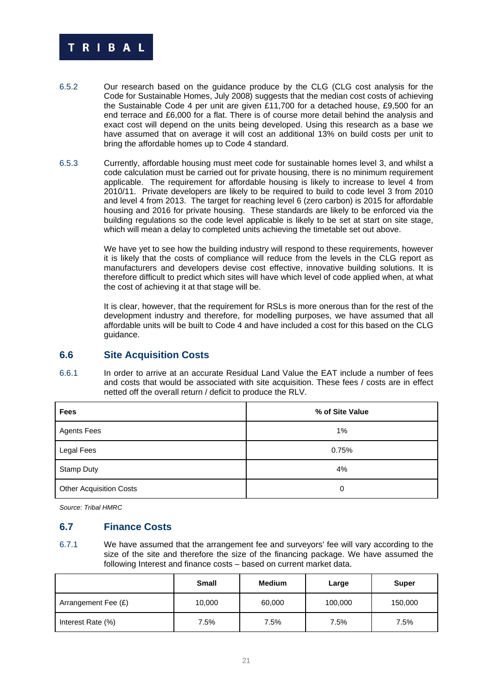

- 6.5.2 Our research based on the guidance produce by the CLG (CLG cost analysis for the Code for Sustainable Homes, July 2008) suggests that the median cost costs of achieving the Sustainable Code 4 per unit are given £11,700 for a detached house, £9,500 for an end terrace and £6,000 for a flat. There is of course more detail behind the analysis and exact cost will depend on the units being developed. Using this research as a base we have assumed that on average it will cost an additional 13% on build costs per unit to bring the affordable homes up to Code 4 standard.
- 6.5.3 Currently, affordable housing must meet code for sustainable homes level 3, and whilst a code calculation must be carried out for private housing, there is no minimum requirement applicable. The requirement for affordable housing is likely to increase to level 4 from 2010/11. Private developers are likely to be required to build to code level 3 from 2010 and level 4 from 2013. The target for reaching level 6 (zero carbon) is 2015 for affordable housing and 2016 for private housing. These standards are likely to be enforced via the building regulations so the code level applicable is likely to be set at start on site stage, which will mean a delay to completed units achieving the timetable set out above.

We have yet to see how the building industry will respond to these requirements, however it is likely that the costs of compliance will reduce from the levels in the CLG report as manufacturers and developers devise cost effective, innovative building solutions. It is therefore difficult to predict which sites will have which level of code applied when, at what the cost of achieving it at that stage will be.

It is clear, however, that the requirement for RSLs is more onerous than for the rest of the development industry and therefore, for modelling purposes, we have assumed that all affordable units will be built to Code 4 and have included a cost for this based on the CLG guidance.

# **6.6 Site Acquisition Costs**

6.6.1 In order to arrive at an accurate Residual Land Value the EAT include a number of fees and costs that would be associated with site acquisition. These fees / costs are in effect netted off the overall return / deficit to produce the RLV.

| <b>Fees</b>                    | % of Site Value |
|--------------------------------|-----------------|
| <b>Agents Fees</b>             | 1%              |
| Legal Fees                     | 0.75%           |
| <b>Stamp Duty</b>              | 4%              |
| <b>Other Acquisition Costs</b> | 0               |

*Source: Tribal HMRC* 

# **6.7 Finance Costs**

6.7.1 We have assumed that the arrangement fee and surveyors' fee will vary according to the size of the site and therefore the size of the financing package. We have assumed the following Interest and finance costs – based on current market data.

|                     | <b>Small</b> | <b>Medium</b> | Large   | <b>Super</b> |
|---------------------|--------------|---------------|---------|--------------|
| Arrangement Fee (£) | 10,000       | 60,000        | 100,000 | 150,000      |
| Interest Rate (%)   | 7.5%         | 7.5%          | 7.5%    | 7.5%         |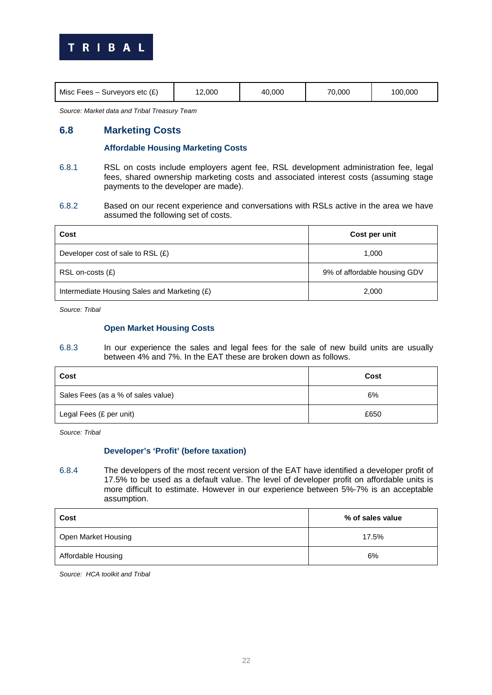

| Surveyors etc (£)<br>100.000<br>2.000<br>70.000<br>Misc Fees $-$<br>.000 |
|--------------------------------------------------------------------------|
|--------------------------------------------------------------------------|

*Source: Market data and Tribal Treasury Team* 

# **6.8 Marketing Costs**

#### **Affordable Housing Marketing Costs**

- 6.8.1 RSL on costs include employers agent fee, RSL development administration fee, legal fees, shared ownership marketing costs and associated interest costs (assuming stage payments to the developer are made).
- 6.8.2 Based on our recent experience and conversations with RSLs active in the area we have assumed the following set of costs.

| Cost                                         | Cost per unit                |
|----------------------------------------------|------------------------------|
| Developer cost of sale to RSL $(E)$          | 1,000                        |
| $RSL$ on-costs $(E)$                         | 9% of affordable housing GDV |
| Intermediate Housing Sales and Marketing (£) | 2,000                        |

*Source: Tribal* 

#### **Open Market Housing Costs**

6.8.3 In our experience the sales and legal fees for the sale of new build units are usually between 4% and 7%. In the EAT these are broken down as follows.

| Cost                               | Cost |
|------------------------------------|------|
| Sales Fees (as a % of sales value) | 6%   |
| Legal Fees (£ per unit)            | £650 |

*Source: Tribal* 

#### **Developer's 'Profit' (before taxation)**

6.8.4 The developers of the most recent version of the EAT have identified a developer profit of 17.5% to be used as a default value. The level of developer profit on affordable units is more difficult to estimate. However in our experience between 5%-7% is an acceptable assumption.

| Cost                | % of sales value |
|---------------------|------------------|
| Open Market Housing | 17.5%            |
| Affordable Housing  | 6%               |

*Source: HCA toolkit and Tribal*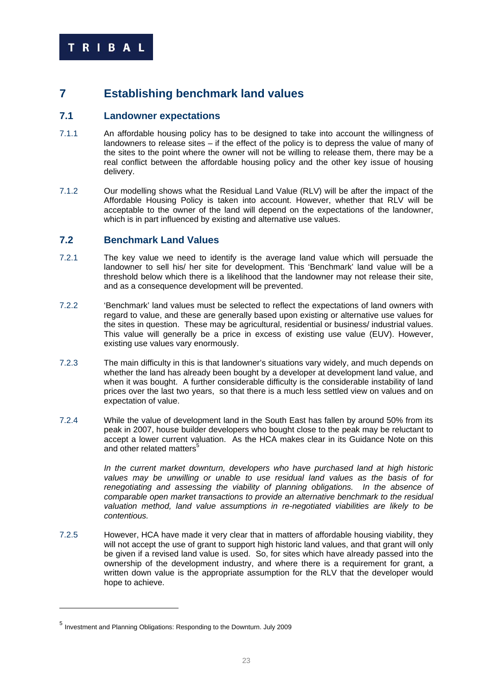# **7 Establishing benchmark land values**

## **7.1 Landowner expectations**

- 7.1.1 An affordable housing policy has to be designed to take into account the willingness of landowners to release sites – if the effect of the policy is to depress the value of many of the sites to the point where the owner will not be willing to release them, there may be a real conflict between the affordable housing policy and the other key issue of housing delivery.
- 7.1.2 Our modelling shows what the Residual Land Value (RLV) will be after the impact of the Affordable Housing Policy is taken into account. However, whether that RLV will be acceptable to the owner of the land will depend on the expectations of the landowner, which is in part influenced by existing and alternative use values.

## **7.2 Benchmark Land Values**

- 7.2.1 The key value we need to identify is the average land value which will persuade the landowner to sell his/ her site for development. This 'Benchmark' land value will be a threshold below which there is a likelihood that the landowner may not release their site, and as a consequence development will be prevented.
- 7.2.2 'Benchmark' land values must be selected to reflect the expectations of land owners with regard to value, and these are generally based upon existing or alternative use values for the sites in question. These may be agricultural, residential or business/ industrial values. This value will generally be a price in excess of existing use value (EUV). However, existing use values vary enormously.
- 7.2.3 The main difficulty in this is that landowner's situations vary widely, and much depends on whether the land has already been bought by a developer at development land value, and when it was bought. A further considerable difficulty is the considerable instability of land prices over the last two years, so that there is a much less settled view on values and on expectation of value.
- 7.2.4 While the value of development land in the South East has fallen by around 50% from its peak in 2007, house builder developers who bought close to the peak may be reluctant to accept a lower current valuation. As the HCA makes clear in its Guidance Note on this and other related matters<sup>5</sup>

*In the current market downturn, developers who have purchased land at high historic values may be unwilling or unable to use residual land values as the basis of for renegotiating and assessing the viability of planning obligations. In the absence of comparable open market transactions to provide an alternative benchmark to the residual valuation method, land value assumptions in re-negotiated viabilities are likely to be contentious.* 

7.2.5 However, HCA have made it very clear that in matters of affordable housing viability, they will not accept the use of grant to support high historic land values, and that grant will only be given if a revised land value is used. So, for sites which have already passed into the ownership of the development industry, and where there is a requirement for grant, a written down value is the appropriate assumption for the RLV that the developer would hope to achieve.

1

<sup>5</sup> Investment and Planning Obligations: Responding to the Downturn. July 2009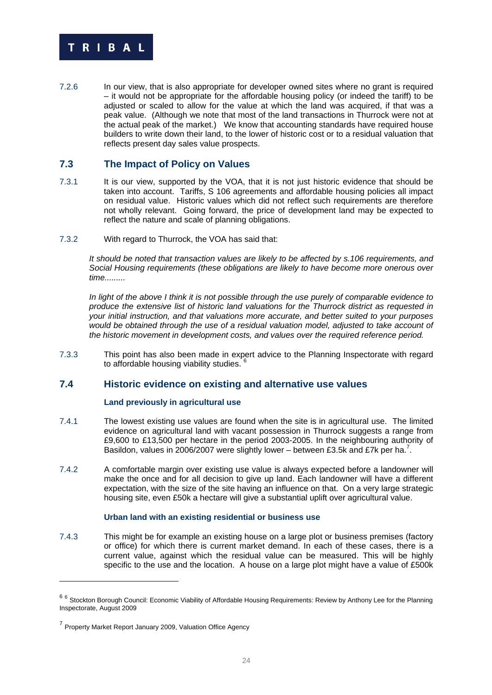

7.2.6 In our view, that is also appropriate for developer owned sites where no grant is required – it would not be appropriate for the affordable housing policy (or indeed the tariff) to be adjusted or scaled to allow for the value at which the land was acquired, if that was a peak value. (Although we note that most of the land transactions in Thurrock were not at the actual peak of the market.) We know that accounting standards have required house builders to write down their land, to the lower of historic cost or to a residual valuation that reflects present day sales value prospects.

# **7.3 The Impact of Policy on Values**

- 7.3.1 It is our view, supported by the VOA, that it is not just historic evidence that should be taken into account. Tariffs, S 106 agreements and affordable housing policies all impact on residual value. Historic values which did not reflect such requirements are therefore not wholly relevant. Going forward, the price of development land may be expected to reflect the nature and scale of planning obligations.
- 7.3.2 With regard to Thurrock, the VOA has said that:

*It should be noted that transaction values are likely to be affected by s.106 requirements, and Social Housing requirements (these obligations are likely to have become more onerous over time.........* 

*In light of the above I think it is not possible through the use purely of comparable evidence to produce the extensive list of historic land valuations for the Thurrock district as requested in your initial instruction, and that valuations more accurate, and better suited to your purposes would be obtained through the use of a residual valuation model, adjusted to take account of the historic movement in development costs, and values over the required reference period.* 

7.3.3 This point has also been made in expert advice to the Planning Inspectorate with regard to affordable housing viability studies. <sup>6</sup>

# **7.4 Historic evidence on existing and alternative use values**

#### **Land previously in agricultural use**

- 7.4.1 The lowest existing use values are found when the site is in agricultural use. The limited evidence on agricultural land with vacant possession in Thurrock suggests a range from £9,600 to £13,500 per hectare in the period 2003-2005. In the neighbouring authority of Basildon, values in 2006/2007 were slightly lower – between £3.5k and £7k per ha.<sup>7</sup>.
- 7.4.2 A comfortable margin over existing use value is always expected before a landowner will make the once and for all decision to give up land. Each landowner will have a different expectation, with the size of the site having an influence on that. On a very large strategic housing site, even £50k a hectare will give a substantial uplift over agricultural value.

#### **Urban land with an existing residential or business use**

7.4.3 This might be for example an existing house on a large plot or business premises (factory or office) for which there is current market demand. In each of these cases, there is a current value, against which the residual value can be measured. This will be highly specific to the use and the location. A house on a large plot might have a value of £500k

-

<sup>&</sup>lt;sup>6 6</sup> Stockton Borough Council: Economic Viability of Affordable Housing Requirements: Review by Anthony Lee for the Planning Inspectorate, August 2009

<sup>&</sup>lt;sup>7</sup> Property Market Report January 2009, Valuation Office Agency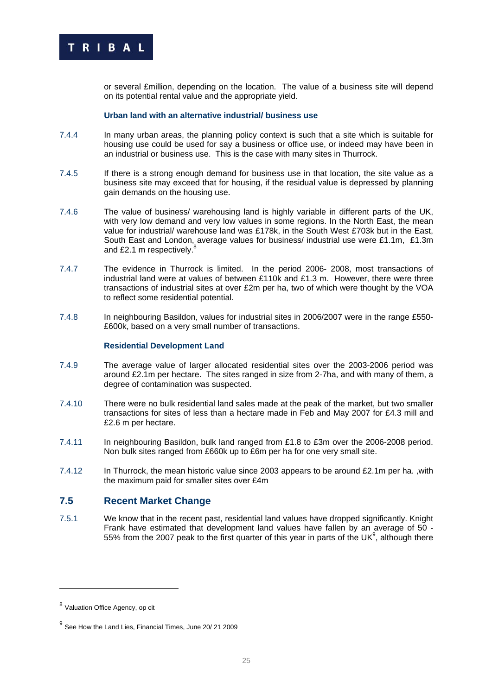

or several £million, depending on the location. The value of a business site will depend on its potential rental value and the appropriate yield.

#### **Urban land with an alternative industrial/ business use**

- 7.4.4 In many urban areas, the planning policy context is such that a site which is suitable for housing use could be used for say a business or office use, or indeed may have been in an industrial or business use. This is the case with many sites in Thurrock.
- 7.4.5 If there is a strong enough demand for business use in that location, the site value as a business site may exceed that for housing, if the residual value is depressed by planning gain demands on the housing use.
- 7.4.6 The value of business/ warehousing land is highly variable in different parts of the UK, with very low demand and very low values in some regions. In the North East, the mean value for industrial/ warehouse land was £178k, in the South West £703k but in the East, South East and London, average values for business/ industrial use were £1.1m, £1.3m and £2.1 m respectively. $8$
- 7.4.7 The evidence in Thurrock is limited. In the period 2006- 2008, most transactions of industrial land were at values of between £110k and £1.3 m. However, there were three transactions of industrial sites at over £2m per ha, two of which were thought by the VOA to reflect some residential potential.
- 7.4.8 In neighbouring Basildon, values for industrial sites in 2006/2007 were in the range £550- £600k, based on a very small number of transactions.

#### **Residential Development Land**

- 7.4.9 The average value of larger allocated residential sites over the 2003-2006 period was around £2.1m per hectare. The sites ranged in size from 2-7ha, and with many of them, a degree of contamination was suspected.
- 7.4.10 There were no bulk residential land sales made at the peak of the market, but two smaller transactions for sites of less than a hectare made in Feb and May 2007 for £4.3 mill and £2.6 m per hectare.
- 7.4.11 In neighbouring Basildon, bulk land ranged from £1.8 to £3m over the 2006-2008 period. Non bulk sites ranged from £660k up to £6m per ha for one very small site.
- 7.4.12 In Thurrock, the mean historic value since 2003 appears to be around £2.1m per ha., with the maximum paid for smaller sites over £4m

## **7.5 Recent Market Change**

7.5.1 We know that in the recent past, residential land values have dropped significantly. Knight Frank have estimated that development land values have fallen by an average of 50 - 55% from the 2007 peak to the first quarter of this year in parts of the UK $9$ , although there

1

<sup>8</sup> Valuation Office Agency, op cit

 $<sup>9</sup>$  See How the Land Lies, Financial Times, June 20/ 21 2009</sup>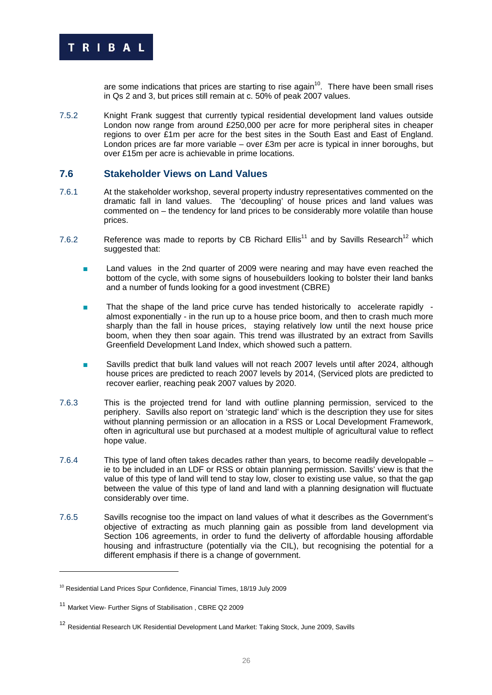

are some indications that prices are starting to rise again<sup>10</sup>. There have been small rises in Qs 2 and 3, but prices still remain at c. 50% of peak 2007 values.

7.5.2 Knight Frank suggest that currently typical residential development land values outside London now range from around £250,000 per acre for more peripheral sites in cheaper regions to over £1m per acre for the best sites in the South East and East of England. London prices are far more variable – over £3m per acre is typical in inner boroughs, but over £15m per acre is achievable in prime locations.

## **7.6 Stakeholder Views on Land Values**

- 7.6.1 At the stakeholder workshop, several property industry representatives commented on the dramatic fall in land values. The 'decoupling' of house prices and land values was commented on – the tendency for land prices to be considerably more volatile than house prices.
- 7.6.2 Reference was made to reports by CB Richard Ellis<sup>11</sup> and by Savills Research<sup>12</sup> which suggested that:
	- Land values in the 2nd quarter of 2009 were nearing and may have even reached the bottom of the cycle, with some signs of housebuilders looking to bolster their land banks and a number of funds looking for a good investment (CBRE)
	- That the shape of the land price curve has tended historically to accelerate rapidly almost exponentially - in the run up to a house price boom, and then to crash much more sharply than the fall in house prices, staying relatively low until the next house price boom, when they then soar again. This trend was illustrated by an extract from Savills Greenfield Development Land Index, which showed such a pattern.
	- Savills predict that bulk land values will not reach 2007 levels until after 2024, although house prices are predicted to reach 2007 levels by 2014, (Serviced plots are predicted to recover earlier, reaching peak 2007 values by 2020.
- 7.6.3 This is the projected trend for land with outline planning permission, serviced to the periphery. Savills also report on 'strategic land' which is the description they use for sites without planning permission or an allocation in a RSS or Local Development Framework, often in agricultural use but purchased at a modest multiple of agricultural value to reflect hope value.
- 7.6.4 This type of land often takes decades rather than years, to become readily developable ie to be included in an LDF or RSS or obtain planning permission. Savills' view is that the value of this type of land will tend to stay low, closer to existing use value, so that the gap between the value of this type of land and land with a planning designation will fluctuate considerably over time.
- 7.6.5 Savills recognise too the impact on land values of what it describes as the Government's objective of extracting as much planning gain as possible from land development via Section 106 agreements, in order to fund the deliverty of affordable housing affordable housing and infrastructure (potentially via the CIL), but recognising the potential for a different emphasis if there is a change of government.

-

<sup>&</sup>lt;sup>10</sup> Residential Land Prices Spur Confidence, Financial Times, 18/19 July 2009

<sup>11</sup> Market View- Further Signs of Stabilisation , CBRE Q2 2009

<sup>&</sup>lt;sup>12</sup> Residential Research UK Residential Development Land Market: Taking Stock, June 2009, Savills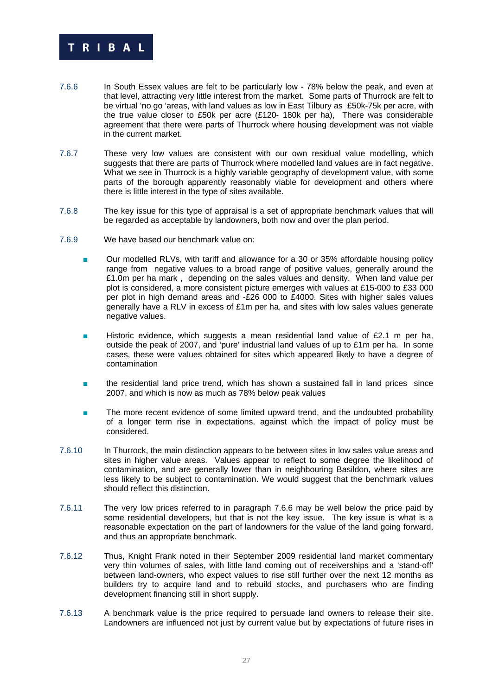

- 7.6.6 In South Essex values are felt to be particularly low 78% below the peak, and even at that level, attracting very little interest from the market. Some parts of Thurrock are felt to be virtual 'no go 'areas, with land values as low in East Tilbury as £50k-75k per acre, with the true value closer to £50k per acre (£120- 180k per ha), There was considerable agreement that there were parts of Thurrock where housing development was not viable in the current market.
- 7.6.7 These very low values are consistent with our own residual value modelling, which suggests that there are parts of Thurrock where modelled land values are in fact negative. What we see in Thurrock is a highly variable geography of development value, with some parts of the borough apparently reasonably viable for development and others where there is little interest in the type of sites available.
- 7.6.8 The key issue for this type of appraisal is a set of appropriate benchmark values that will be regarded as acceptable by landowners, both now and over the plan period.
- 7.6.9 We have based our benchmark value on:
	- Our modelled RLVs, with tariff and allowance for a 30 or 35% affordable housing policy range from negative values to a broad range of positive values, generally around the £1.0m per ha mark , depending on the sales values and density. When land value per plot is considered, a more consistent picture emerges with values at £15-000 to £33 000 per plot in high demand areas and -£26 000 to £4000. Sites with higher sales values generally have a RLV in excess of £1m per ha, and sites with low sales values generate negative values.
	- Historic evidence, which suggests a mean residential land value of  $£2.1$  m per ha, outside the peak of 2007, and 'pure' industrial land values of up to £1m per ha. In some cases, these were values obtained for sites which appeared likely to have a degree of contamination
	- the residential land price trend, which has shown a sustained fall in land prices since 2007, and which is now as much as 78% below peak values
	- The more recent evidence of some limited upward trend, and the undoubted probability of a longer term rise in expectations, against which the impact of policy must be considered.
- 7.6.10 In Thurrock, the main distinction appears to be between sites in low sales value areas and sites in higher value areas. Values appear to reflect to some degree the likelihood of contamination, and are generally lower than in neighbouring Basildon, where sites are less likely to be subject to contamination. We would suggest that the benchmark values should reflect this distinction.
- 7.6.11 The very low prices referred to in paragraph 7.6.6 may be well below the price paid by some residential developers, but that is not the key issue. The key issue is what is a reasonable expectation on the part of landowners for the value of the land going forward, and thus an appropriate benchmark.
- 7.6.12 Thus, Knight Frank noted in their September 2009 residential land market commentary very thin volumes of sales, with little land coming out of receiverships and a 'stand-off' between land-owners, who expect values to rise still further over the next 12 months as builders try to acquire land and to rebuild stocks, and purchasers who are finding development financing still in short supply.
- 7.6.13 A benchmark value is the price required to persuade land owners to release their site. Landowners are influenced not just by current value but by expectations of future rises in